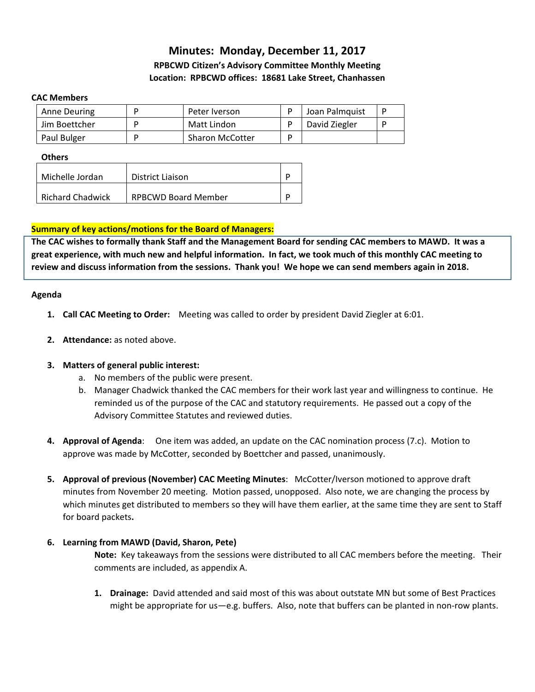# **Minutes: Monday, December 11, 2017 RPBCWD Citizen's Advisory Committee Monthly Meeting Location: RPBCWD offices: 18681 Lake Street, Chanhassen**

#### **CAC Members**

| Anne Deuring  | Peter Iverson          | Joan Palmquist |  |
|---------------|------------------------|----------------|--|
| Jim Boettcher | Matt Lindon            | David Ziegler  |  |
| Paul Bulger   | <b>Sharon McCotter</b> |                |  |

#### **Others**

| Michelle Jordan         | District Liaison           |  |
|-------------------------|----------------------------|--|
| <b>Richard Chadwick</b> | <b>RPBCWD Board Member</b> |  |

#### **Summary of key actions/motions for the Board of Managers:**

**The CAC wishes to formally thank Staff and the Management Board for sending CAC members to MAWD. It was a great experience, with much new and helpful information. In fact, we took much of this monthly CAC meeting to review and discuss information from the sessions. Thank you! We hope we can send members again in 2018.** 

#### **Agenda**

- **1. Call CAC Meeting to Order:** Meeting was called to order by president David Ziegler at 6:01.
- **2. Attendance:** as noted above.

#### **3. Matters of general public interest:**

- a. No members of the public were present.
- b. Manager Chadwick thanked the CAC members for their work last year and willingness to continue. He reminded us of the purpose of the CAC and statutory requirements. He passed out a copy of the Advisory Committee Statutes and reviewed duties.
- **4. Approval of Agenda**: One item was added, an update on the CAC nomination process (7.c). Motion to approve was made by McCotter, seconded by Boettcher and passed, unanimously.
- **5. Approval of previous (November) CAC Meeting Minutes**: McCotter/Iverson motioned to approve draft minutes from November 20 meeting. Motion passed, unopposed. Also note, we are changing the process by which minutes get distributed to members so they will have them earlier, at the same time they are sent to Staff for board packets**.**

#### **6. Learning from MAWD (David, Sharon, Pete)**

**Note:** Key takeaways from the sessions were distributed to all CAC members before the meeting. Their comments are included, as appendix A.

**1. Drainage:** David attended and said most of this was about outstate MN but some of Best Practices might be appropriate for us—e.g. buffers. Also, note that buffers can be planted in non-row plants.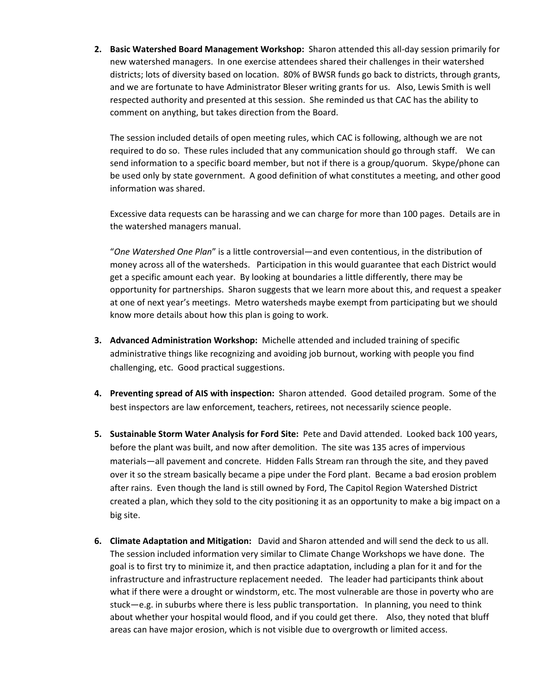**2. Basic Watershed Board Management Workshop:** Sharon attended this all-day session primarily for new watershed managers. In one exercise attendees shared their challenges in their watershed districts; lots of diversity based on location. 80% of BWSR funds go back to districts, through grants, and we are fortunate to have Administrator Bleser writing grants for us. Also, Lewis Smith is well respected authority and presented at this session. She reminded us that CAC has the ability to comment on anything, but takes direction from the Board.

The session included details of open meeting rules, which CAC is following, although we are not required to do so. These rules included that any communication should go through staff. We can send information to a specific board member, but not if there is a group/quorum. Skype/phone can be used only by state government. A good definition of what constitutes a meeting, and other good information was shared.

Excessive data requests can be harassing and we can charge for more than 100 pages. Details are in the watershed managers manual.

"*One Watershed One Plan*" is a little controversial—and even contentious, in the distribution of money across all of the watersheds. Participation in this would guarantee that each District would get a specific amount each year. By looking at boundaries a little differently, there may be opportunity for partnerships. Sharon suggests that we learn more about this, and request a speaker at one of next year's meetings. Metro watersheds maybe exempt from participating but we should know more details about how this plan is going to work.

- **3. Advanced Administration Workshop:** Michelle attended and included training of specific administrative things like recognizing and avoiding job burnout, working with people you find challenging, etc. Good practical suggestions.
- **4. Preventing spread of AIS with inspection:** Sharon attended. Good detailed program. Some of the best inspectors are law enforcement, teachers, retirees, not necessarily science people.
- **5. Sustainable Storm Water Analysis for Ford Site:** Pete and David attended. Looked back 100 years, before the plant was built, and now after demolition. The site was 135 acres of impervious materials—all pavement and concrete. Hidden Falls Stream ran through the site, and they paved over it so the stream basically became a pipe under the Ford plant. Became a bad erosion problem after rains. Even though the land is still owned by Ford, The Capitol Region Watershed District created a plan, which they sold to the city positioning it as an opportunity to make a big impact on a big site.
- **6. Climate Adaptation and Mitigation:** David and Sharon attended and will send the deck to us all. The session included information very similar to Climate Change Workshops we have done. The goal is to first try to minimize it, and then practice adaptation, including a plan for it and for the infrastructure and infrastructure replacement needed. The leader had participants think about what if there were a drought or windstorm, etc. The most vulnerable are those in poverty who are stuck—e.g. in suburbs where there is less public transportation. In planning, you need to think about whether your hospital would flood, and if you could get there. Also, they noted that bluff areas can have major erosion, which is not visible due to overgrowth or limited access.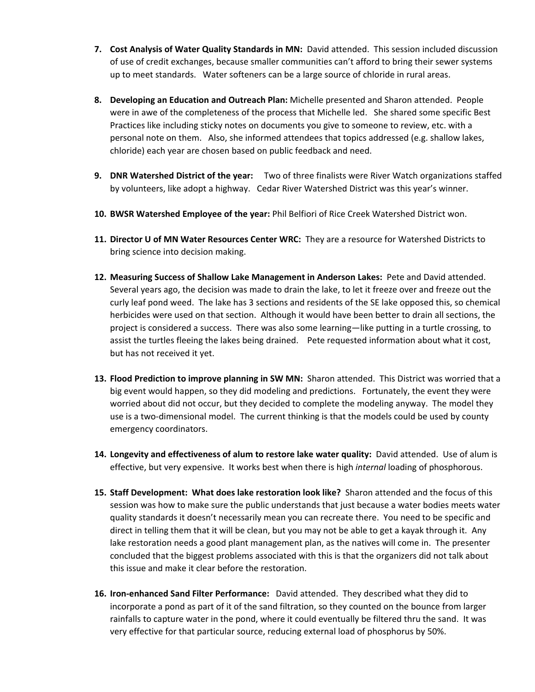- **7. Cost Analysis of Water Quality Standards in MN:** David attended. This session included discussion of use of credit exchanges, because smaller communities can't afford to bring their sewer systems up to meet standards. Water softeners can be a large source of chloride in rural areas.
- **8. Developing an Education and Outreach Plan:** Michelle presented and Sharon attended. People were in awe of the completeness of the process that Michelle led. She shared some specific Best Practices like including sticky notes on documents you give to someone to review, etc. with a personal note on them. Also, she informed attendees that topics addressed (e.g. shallow lakes, chloride) each year are chosen based on public feedback and need.
- **9. DNR Watershed District of the year:** Two of three finalists were River Watch organizations staffed by volunteers, like adopt a highway. Cedar River Watershed District was this year's winner.
- **10. BWSR Watershed Employee of the year:** Phil Belfiori of Rice Creek Watershed District won.
- **11. Director U of MN Water Resources Center WRC:** They are a resource for Watershed Districts to bring science into decision making.
- **12. Measuring Success of Shallow Lake Management in Anderson Lakes:** Pete and David attended. Several years ago, the decision was made to drain the lake, to let it freeze over and freeze out the curly leaf pond weed. The lake has 3 sections and residents of the SE lake opposed this, so chemical herbicides were used on that section. Although it would have been better to drain all sections, the project is considered a success. There was also some learning—like putting in a turtle crossing, to assist the turtles fleeing the lakes being drained. Pete requested information about what it cost, but has not received it yet.
- **13. Flood Prediction to improve planning in SW MN:** Sharon attended. This District was worried that a big event would happen, so they did modeling and predictions. Fortunately, the event they were worried about did not occur, but they decided to complete the modeling anyway. The model they use is a two-dimensional model. The current thinking is that the models could be used by county emergency coordinators.
- **14. Longevity and effectiveness of alum to restore lake water quality:** David attended. Use of alum is effective, but very expensive. It works best when there is high *internal* loading of phosphorous.
- **15. Staff Development: What does lake restoration look like?** Sharon attended and the focus of this session was how to make sure the public understands that just because a water bodies meets water quality standards it doesn't necessarily mean you can recreate there. You need to be specific and direct in telling them that it will be clean, but you may not be able to get a kayak through it. Any lake restoration needs a good plant management plan, as the natives will come in. The presenter concluded that the biggest problems associated with this is that the organizers did not talk about this issue and make it clear before the restoration.
- **16. Iron-enhanced Sand Filter Performance:** David attended. They described what they did to incorporate a pond as part of it of the sand filtration, so they counted on the bounce from larger rainfalls to capture water in the pond, where it could eventually be filtered thru the sand. It was very effective for that particular source, reducing external load of phosphorus by 50%.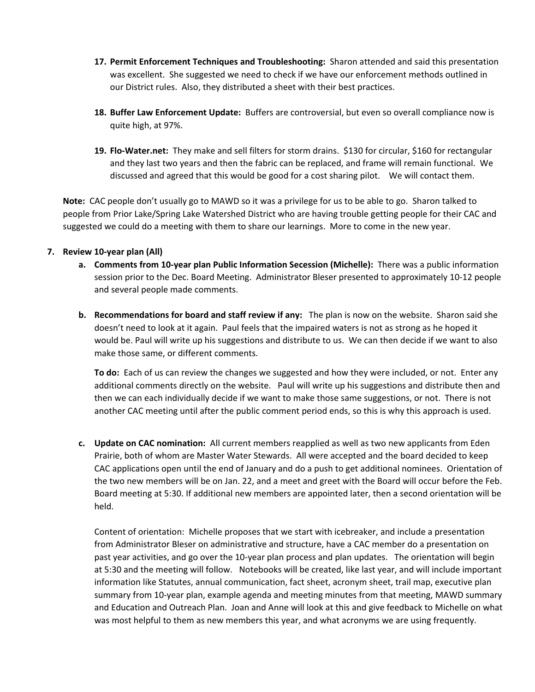- **17. Permit Enforcement Techniques and Troubleshooting:** Sharon attended and said this presentation was excellent. She suggested we need to check if we have our enforcement methods outlined in our District rules. Also, they distributed a sheet with their best practices.
- **18. Buffer Law Enforcement Update:** Buffers are controversial, but even so overall compliance now is quite high, at 97%.
- **19. Flo-Water.net:** They make and sell filters for storm drains. \$130 for circular, \$160 for rectangular and they last two years and then the fabric can be replaced, and frame will remain functional. We discussed and agreed that this would be good for a cost sharing pilot. We will contact them.

**Note:** CAC people don't usually go to MAWD so it was a privilege for us to be able to go.Sharon talked to people from Prior Lake/Spring Lake Watershed District who are having trouble getting people for their CAC and suggested we could do a meeting with them to share our learnings. More to come in the new year.

### **7. Review 10-year plan (All)**

- **a. Comments from 10-year plan Public Information Secession (Michelle):** There was a public information session prior to the Dec. Board Meeting. Administrator Bleser presented to approximately 10-12 people and several people made comments.
- **b. Recommendations for board and staff review if any:** The plan is now on the website. Sharon said she doesn't need to look at it again. Paul feels that the impaired waters is not as strong as he hoped it would be. Paul will write up his suggestions and distribute to us. We can then decide if we want to also make those same, or different comments.

**To do:** Each of us can review the changes we suggested and how they were included, or not. Enter any additional comments directly on the website. Paul will write up his suggestions and distribute then and then we can each individually decide if we want to make those same suggestions, or not. There is not another CAC meeting until after the public comment period ends, so this is why this approach is used.

**c. Update on CAC nomination:** All current members reapplied as well as two new applicants from Eden Prairie, both of whom are Master Water Stewards. All were accepted and the board decided to keep CAC applications open until the end of January and do a push to get additional nominees. Orientation of the two new members will be on Jan. 22, and a meet and greet with the Board will occur before the Feb. Board meeting at 5:30. If additional new members are appointed later, then a second orientation will be held.

Content of orientation: Michelle proposes that we start with icebreaker, and include a presentation from Administrator Bleser on administrative and structure, have a CAC member do a presentation on past year activities, and go over the 10-year plan process and plan updates. The orientation will begin at 5:30 and the meeting will follow. Notebooks will be created, like last year, and will include important information like Statutes, annual communication, fact sheet, acronym sheet, trail map, executive plan summary from 10-year plan, example agenda and meeting minutes from that meeting, MAWD summary and Education and Outreach Plan. Joan and Anne will look at this and give feedback to Michelle on what was most helpful to them as new members this year, and what acronyms we are using frequently.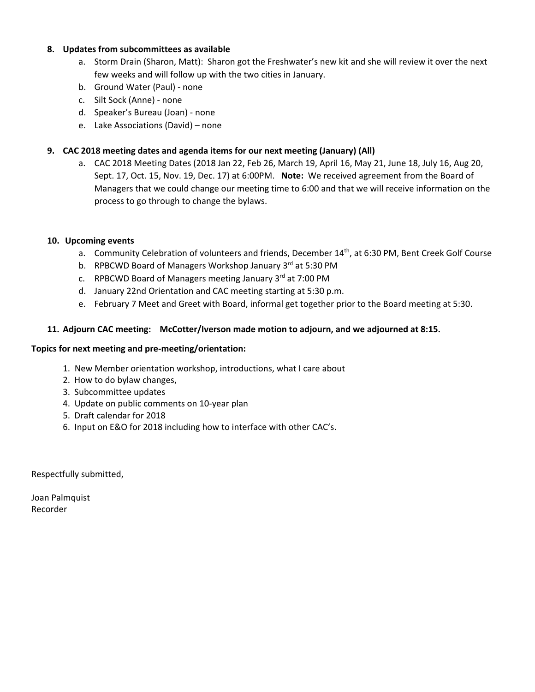#### **8. Updates from subcommittees as available**

- a. Storm Drain (Sharon, Matt): Sharon got the Freshwater's new kit and she will review it over the next few weeks and will follow up with the two cities in January.
- b. Ground Water (Paul) none
- c. Silt Sock (Anne) none
- d. Speaker's Bureau (Joan) none
- e. Lake Associations (David) none

### **9. CAC 2018 meeting dates and agenda items for our next meeting (January) (All)**

a. CAC 2018 Meeting Dates (2018 Jan 22, Feb 26, March 19, April 16, May 21, June 18, July 16, Aug 20, Sept. 17, Oct. 15, Nov. 19, Dec. 17) at 6:00PM. **Note:** We received agreement from the Board of Managers that we could change our meeting time to 6:00 and that we will receive information on the process to go through to change the bylaws.

### **10. Upcoming events**

- a. Community Celebration of volunteers and friends, December 14<sup>th</sup>, at 6:30 PM, Bent Creek Golf Course
- b. RPBCWD Board of Managers Workshop January 3<sup>rd</sup> at 5:30 PM
- c. RPBCWD Board of Managers meeting January 3rd at 7:00 PM
- d. January 22nd Orientation and CAC meeting starting at 5:30 p.m.
- e. February 7 Meet and Greet with Board, informal get together prior to the Board meeting at 5:30.

### **11. Adjourn CAC meeting: McCotter/Iverson made motion to adjourn, and we adjourned at 8:15.**

#### **Topics for next meeting and pre-meeting/orientation:**

- 1. New Member orientation workshop, introductions, what I care about
- 2. How to do bylaw changes,
- 3. Subcommittee updates
- 4. Update on public comments on 10-year plan
- 5. Draft calendar for 2018
- 6. Input on E&O for 2018 including how to interface with other CAC's.

Respectfully submitted,

Joan Palmquist Recorder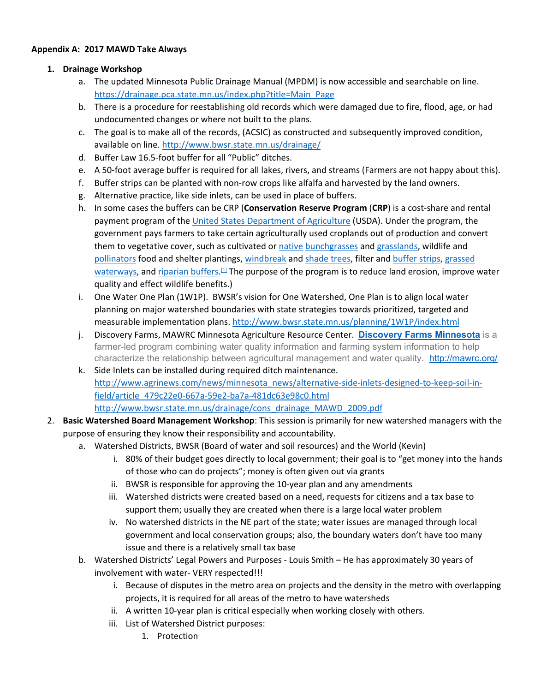#### **Appendix A: 2017 MAWD Take Always**

### **1. Drainage Workshop**

- a. The updated Minnesota Public Drainage Manual (MPDM) is now accessible and searchable on line. https://drainage.pca.state.mn.us/index.php?title=Main\_Page
- b. There is a procedure for reestablishing old records which were damaged due to fire, flood, age, or had undocumented changes or where not built to the plans.
- c. The goal is to make all of the records, (ACSIC) as constructed and subsequently improved condition, available on line. http://www.bwsr.state.mn.us/drainage/
- d. Buffer Law 16.5-foot buffer for all "Public" ditches.
- e. A 50-foot average buffer is required for all lakes, rivers, and streams (Farmers are not happy about this).
- f. Buffer strips can be planted with non-row crops like alfalfa and harvested by the land owners.
- g. Alternative practice, like side inlets, can be used in place of buffers.
- h. In some cases the buffers can be CRP (**Conservation Reserve Program** (**CRP**) is a cost-share and rental payment program of the United States Department of Agriculture (USDA). Under the program, the government pays farmers to take certain agriculturally used croplands out of production and convert them to vegetative cover, such as cultivated or native bunchgrasses and grasslands, wildlife and pollinators food and shelter plantings, windbreak and shade trees, filter and buffer strips, grassed waterways, and riparian buffers.<sup>[1]</sup> The purpose of the program is to reduce land erosion, improve water quality and effect wildlife benefits.)
- i. One Water One Plan (1W1P). BWSR's vision for One Watershed, One Plan is to align local water planning on major watershed boundaries with state strategies towards prioritized, targeted and measurable implementation plans. http://www.bwsr.state.mn.us/planning/1W1P/index.html
- j. Discovery Farms, MAWRC Minnesota Agriculture Resource Center. **Discovery Farms Minnesota** is a farmer-led program combining water quality information and farming system information to help characterize the relationship between agricultural management and water quality. http://mawrc.org/
- k. Side Inlets can be installed during required ditch maintenance. http://www.agrinews.com/news/minnesota\_news/alternative-side-inlets-designed-to-keep-soil-infield/article\_479c22e0-667a-59e2-ba7a-481dc63e98c0.html http://www.bwsr.state.mn.us/drainage/cons\_drainage\_MAWD\_2009.pdf
- 2. **Basic Watershed Board Management Workshop**: This session is primarily for new watershed managers with the purpose of ensuring they know their responsibility and accountability.
	- a. Watershed Districts, BWSR (Board of water and soil resources) and the World (Kevin)
		- i. 80% of their budget goes directly to local government; their goal is to "get money into the hands of those who can do projects"; money is often given out via grants
		- ii. BWSR is responsible for approving the 10-year plan and any amendments
		- iii. Watershed districts were created based on a need, requests for citizens and a tax base to support them; usually they are created when there is a large local water problem
		- iv. No watershed districts in the NE part of the state; water issues are managed through local government and local conservation groups; also, the boundary waters don't have too many issue and there is a relatively small tax base
	- b. Watershed Districts' Legal Powers and Purposes Louis Smith He has approximately 30 years of involvement with water- VERY respected!!!
		- i. Because of disputes in the metro area on projects and the density in the metro with overlapping projects, it is required for all areas of the metro to have watersheds
		- ii. A written 10-year plan is critical especially when working closely with others.
		- iii. List of Watershed District purposes:
			- 1. Protection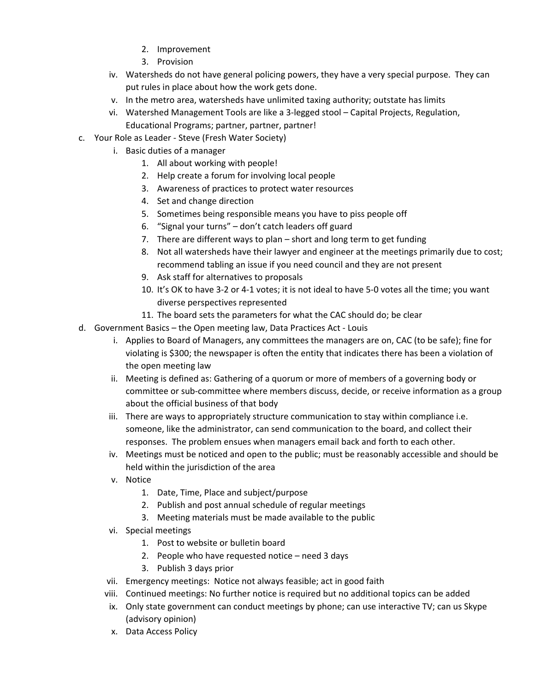- 2. Improvement
- 3. Provision
- iv. Watersheds do not have general policing powers, they have a very special purpose. They can put rules in place about how the work gets done.
- v. In the metro area, watersheds have unlimited taxing authority; outstate has limits
- vi. Watershed Management Tools are like a 3-legged stool Capital Projects, Regulation, Educational Programs; partner, partner, partner!
- c. Your Role as Leader Steve (Fresh Water Society)
	- i. Basic duties of a manager
		- 1. All about working with people!
		- 2. Help create a forum for involving local people
		- 3. Awareness of practices to protect water resources
		- 4. Set and change direction
		- 5. Sometimes being responsible means you have to piss people off
		- 6. "Signal your turns" don't catch leaders off guard
		- 7. There are different ways to plan short and long term to get funding
		- 8. Not all watersheds have their lawyer and engineer at the meetings primarily due to cost; recommend tabling an issue if you need council and they are not present
		- 9. Ask staff for alternatives to proposals
		- 10. It's OK to have 3-2 or 4-1 votes; it is not ideal to have 5-0 votes all the time; you want diverse perspectives represented
		- 11. The board sets the parameters for what the CAC should do; be clear
- d. Government Basics the Open meeting law, Data Practices Act Louis
	- i. Applies to Board of Managers, any committees the managers are on, CAC (to be safe); fine for violating is \$300; the newspaper is often the entity that indicates there has been a violation of the open meeting law
	- ii. Meeting is defined as: Gathering of a quorum or more of members of a governing body or committee or sub-committee where members discuss, decide, or receive information as a group about the official business of that body
	- iii. There are ways to appropriately structure communication to stay within compliance i.e. someone, like the administrator, can send communication to the board, and collect their responses. The problem ensues when managers email back and forth to each other.
	- iv. Meetings must be noticed and open to the public; must be reasonably accessible and should be held within the jurisdiction of the area
	- v. Notice
		- 1. Date, Time, Place and subject/purpose
		- 2. Publish and post annual schedule of regular meetings
		- 3. Meeting materials must be made available to the public
	- vi. Special meetings
		- 1. Post to website or bulletin board
		- 2. People who have requested notice need 3 days
		- 3. Publish 3 days prior
	- vii. Emergency meetings: Notice not always feasible; act in good faith
	- viii. Continued meetings: No further notice is required but no additional topics can be added
	- ix. Only state government can conduct meetings by phone; can use interactive TV; can us Skype (advisory opinion)
	- x. Data Access Policy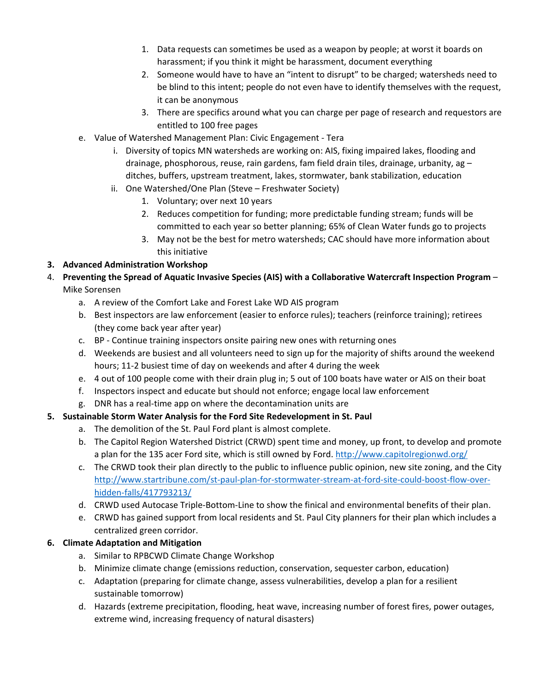- 1. Data requests can sometimes be used as a weapon by people; at worst it boards on harassment; if you think it might be harassment, document everything
- 2. Someone would have to have an "intent to disrupt" to be charged; watersheds need to be blind to this intent; people do not even have to identify themselves with the request, it can be anonymous
- 3. There are specifics around what you can charge per page of research and requestors are entitled to 100 free pages
- e. Value of Watershed Management Plan: Civic Engagement Tera
	- i. Diversity of topics MN watersheds are working on: AIS, fixing impaired lakes, flooding and drainage, phosphorous, reuse, rain gardens, fam field drain tiles, drainage, urbanity, ag  $$ ditches, buffers, upstream treatment, lakes, stormwater, bank stabilization, education
	- ii. One Watershed/One Plan (Steve Freshwater Society)
		- 1. Voluntary; over next 10 years
		- 2. Reduces competition for funding; more predictable funding stream; funds will be committed to each year so better planning; 65% of Clean Water funds go to projects
		- 3. May not be the best for metro watersheds; CAC should have more information about this initiative

## **3. Advanced Administration Workshop**

- 4. **Preventing the Spread of Aquatic Invasive Species (AIS) with a Collaborative Watercraft Inspection Program** Mike Sorensen
	- a. A review of the Comfort Lake and Forest Lake WD AIS program
	- b. Best inspectors are law enforcement (easier to enforce rules); teachers (reinforce training); retirees (they come back year after year)
	- c. BP Continue training inspectors onsite pairing new ones with returning ones
	- d. Weekends are busiest and all volunteers need to sign up for the majority of shifts around the weekend hours; 11-2 busiest time of day on weekends and after 4 during the week
	- e. 4 out of 100 people come with their drain plug in; 5 out of 100 boats have water or AIS on their boat
	- f. Inspectors inspect and educate but should not enforce; engage local law enforcement
	- g. DNR has a real-time app on where the decontamination units are

## **5. Sustainable Storm Water Analysis for the Ford Site Redevelopment in St. Paul**

- a. The demolition of the St. Paul Ford plant is almost complete.
- b. The Capitol Region Watershed District (CRWD) spent time and money, up front, to develop and promote a plan for the 135 acer Ford site, which is still owned by Ford. http://www.capitolregionwd.org/
- c. The CRWD took their plan directly to the public to influence public opinion, new site zoning, and the City http://www.startribune.com/st-paul-plan-for-stormwater-stream-at-ford-site-could-boost-flow-overhidden-falls/417793213/
- d. CRWD used Autocase Triple-Bottom-Line to show the finical and environmental benefits of their plan.
- e. CRWD has gained support from local residents and St. Paul City planners for their plan which includes a centralized green corridor.

### **6. Climate Adaptation and Mitigation**

- a. Similar to RPBCWD Climate Change Workshop
- b. Minimize climate change (emissions reduction, conservation, sequester carbon, education)
- c. Adaptation (preparing for climate change, assess vulnerabilities, develop a plan for a resilient sustainable tomorrow)
- d. Hazards (extreme precipitation, flooding, heat wave, increasing number of forest fires, power outages, extreme wind, increasing frequency of natural disasters)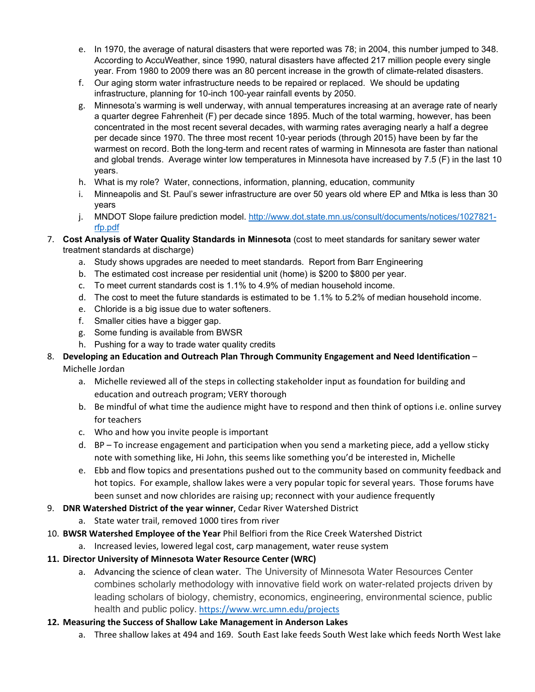- e. In 1970, the average of natural disasters that were reported was 78; in 2004, this number jumped to 348. According to AccuWeather, since 1990, natural disasters have affected 217 million people every single year. From 1980 to 2009 there was an 80 percent increase in the growth of climate-related disasters.
- f. Our aging storm water infrastructure needs to be repaired or replaced. We should be updating infrastructure, planning for 10-inch 100-year rainfall events by 2050.
- g. Minnesota's warming is well underway, with annual temperatures increasing at an average rate of nearly a quarter degree Fahrenheit (F) per decade since 1895. Much of the total warming, however, has been concentrated in the most recent several decades, with warming rates averaging nearly a half a degree per decade since 1970. The three most recent 10-year periods (through 2015) have been by far the warmest on record. Both the long-term and recent rates of warming in Minnesota are faster than national and global trends. Average winter low temperatures in Minnesota have increased by 7.5 (F) in the last 10 years.
- h. What is my role? Water, connections, information, planning, education, community
- i. Minneapolis and St. Paul's sewer infrastructure are over 50 years old where EP and Mtka is less than 30 years
- j. MNDOT Slope failure prediction model. http://www.dot.state.mn.us/consult/documents/notices/1027821 rfp.pdf
- 7. **Cost Analysis of Water Quality Standards in Minnesota** (cost to meet standards for sanitary sewer water treatment standards at discharge)
	- a. Study shows upgrades are needed to meet standards. Report from Barr Engineering
	- b. The estimated cost increase per residential unit (home) is \$200 to \$800 per year.
	- c. To meet current standards cost is 1.1% to 4.9% of median household income.
	- d. The cost to meet the future standards is estimated to be 1.1% to 5.2% of median household income.
	- e. Chloride is a big issue due to water softeners.
	- f. Smaller cities have a bigger gap.
	- g. Some funding is available from BWSR
	- h. Pushing for a way to trade water quality credits

## 8. **Developing an Education and Outreach Plan Through Community Engagement and Need Identification** – Michelle Jordan

- a. Michelle reviewed all of the steps in collecting stakeholder input as foundation for building and education and outreach program; VERY thorough
- b. Be mindful of what time the audience might have to respond and then think of options i.e. online survey for teachers
- c. Who and how you invite people is important
- d. BP To increase engagement and participation when you send a marketing piece, add a yellow sticky note with something like, Hi John, this seems like something you'd be interested in, Michelle
- e. Ebb and flow topics and presentations pushed out to the community based on community feedback and hot topics. For example, shallow lakes were a very popular topic for several years. Those forums have been sunset and now chlorides are raising up; reconnect with your audience frequently
- 9. **DNR Watershed District of the year winner**, Cedar River Watershed District
	- a. State water trail, removed 1000 tires from river
- 10. **BWSR Watershed Employee of the Year** Phil Belfiori from the Rice Creek Watershed District
	- a. Increased levies, lowered legal cost, carp management, water reuse system
- **11. Director University of Minnesota Water Resource Center (WRC)**
	- a. Advancing the science of clean water. The University of Minnesota Water Resources Center combines scholarly methodology with innovative field work on water-related projects driven by leading scholars of biology, chemistry, economics, engineering, environmental science, public health and public policy. https://www.wrc.umn.edu/projects
- **12. Measuring the Success of Shallow Lake Management in Anderson Lakes**
	- a. Three shallow lakes at 494 and 169. South East lake feeds South West lake which feeds North West lake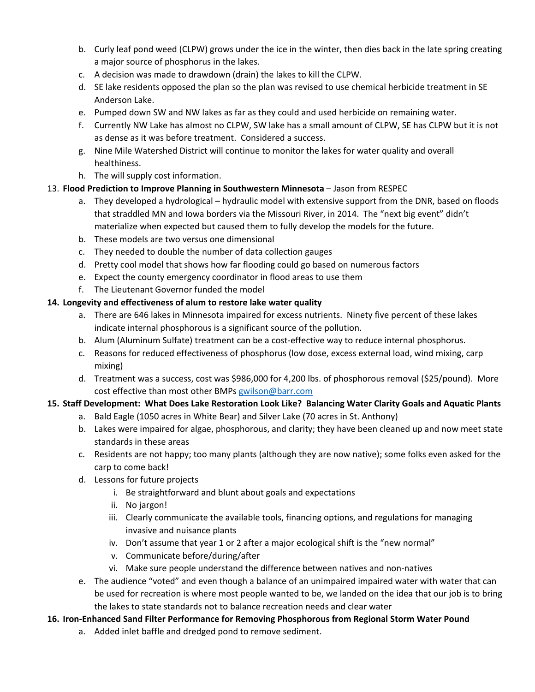- b. Curly leaf pond weed (CLPW) grows under the ice in the winter, then dies back in the late spring creating a major source of phosphorus in the lakes.
- c. A decision was made to drawdown (drain) the lakes to kill the CLPW.
- d. SE lake residents opposed the plan so the plan was revised to use chemical herbicide treatment in SE Anderson Lake.
- e. Pumped down SW and NW lakes as far as they could and used herbicide on remaining water.
- f. Currently NW Lake has almost no CLPW, SW lake has a small amount of CLPW, SE has CLPW but it is not as dense as it was before treatment. Considered a success.
- g. Nine Mile Watershed District will continue to monitor the lakes for water quality and overall healthiness.
- h. The will supply cost information.

### 13. **Flood Prediction to Improve Planning in Southwestern Minnesota** – Jason from RESPEC

- a. They developed a hydrological hydraulic model with extensive support from the DNR, based on floods that straddled MN and Iowa borders via the Missouri River, in 2014. The "next big event" didn't materialize when expected but caused them to fully develop the models for the future.
- b. These models are two versus one dimensional
- c. They needed to double the number of data collection gauges
- d. Pretty cool model that shows how far flooding could go based on numerous factors
- e. Expect the county emergency coordinator in flood areas to use them
- f. The Lieutenant Governor funded the model

### **14. Longevity and effectiveness of alum to restore lake water quality**

- a. There are 646 lakes in Minnesota impaired for excess nutrients. Ninety five percent of these lakes indicate internal phosphorous is a significant source of the pollution.
- b. Alum (Aluminum Sulfate) treatment can be a cost-effective way to reduce internal phosphorus.
- c. Reasons for reduced effectiveness of phosphorus (low dose, excess external load, wind mixing, carp mixing)
- d. Treatment was a success, cost was \$986,000 for 4,200 lbs. of phosphorous removal (\$25/pound). More cost effective than most other BMPs gwilson@barr.com

## **15. Staff Development: What Does Lake Restoration Look Like? Balancing Water Clarity Goals and Aquatic Plants**

- a. Bald Eagle (1050 acres in White Bear) and Silver Lake (70 acres in St. Anthony)
- b. Lakes were impaired for algae, phosphorous, and clarity; they have been cleaned up and now meet state standards in these areas
- c. Residents are not happy; too many plants (although they are now native); some folks even asked for the carp to come back!
- d. Lessons for future projects
	- i. Be straightforward and blunt about goals and expectations
	- ii. No jargon!
	- iii. Clearly communicate the available tools, financing options, and regulations for managing invasive and nuisance plants
	- iv. Don't assume that year 1 or 2 after a major ecological shift is the "new normal"
	- v. Communicate before/during/after
	- vi. Make sure people understand the difference between natives and non-natives
- e. The audience "voted" and even though a balance of an unimpaired impaired water with water that can be used for recreation is where most people wanted to be, we landed on the idea that our job is to bring the lakes to state standards not to balance recreation needs and clear water
- **16. Iron-Enhanced Sand Filter Performance for Removing Phosphorous from Regional Storm Water Pound** 
	- a. Added inlet baffle and dredged pond to remove sediment.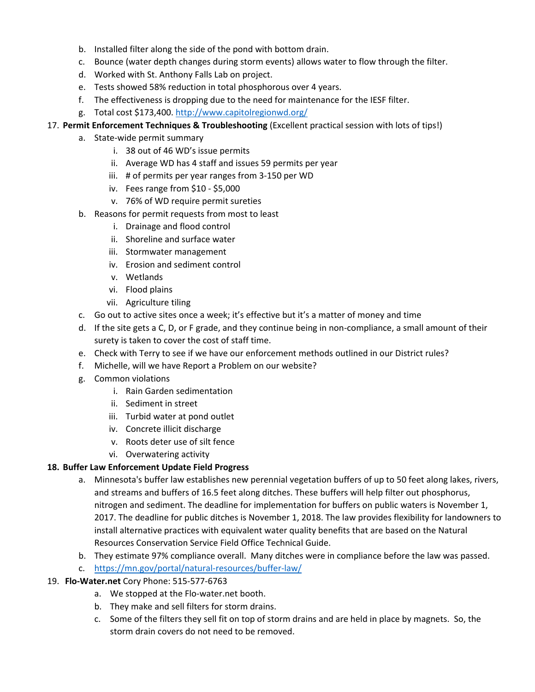- b. Installed filter along the side of the pond with bottom drain.
- c. Bounce (water depth changes during storm events) allows water to flow through the filter.
- d. Worked with St. Anthony Falls Lab on project.
- e. Tests showed 58% reduction in total phosphorous over 4 years.
- f. The effectiveness is dropping due to the need for maintenance for the IESF filter.
- g. Total cost \$173,400. http://www.capitolregionwd.org/

### 17. **Permit Enforcement Techniques & Troubleshooting** (Excellent practical session with lots of tips!)

- a. State-wide permit summary
	- i. 38 out of 46 WD's issue permits
	- ii. Average WD has 4 staff and issues 59 permits per year
	- iii. # of permits per year ranges from 3-150 per WD
	- iv. Fees range from \$10 \$5,000
	- v. 76% of WD require permit sureties
- b. Reasons for permit requests from most to least
	- i. Drainage and flood control
	- ii. Shoreline and surface water
	- iii. Stormwater management
	- iv. Erosion and sediment control
	- v. Wetlands
	- vi. Flood plains
	- vii. Agriculture tiling
- c. Go out to active sites once a week; it's effective but it's a matter of money and time
- d. If the site gets a C, D, or F grade, and they continue being in non-compliance, a small amount of their surety is taken to cover the cost of staff time.
- e. Check with Terry to see if we have our enforcement methods outlined in our District rules?
- f. Michelle, will we have Report a Problem on our website?
- g. Common violations
	- i. Rain Garden sedimentation
	- ii. Sediment in street
	- iii. Turbid water at pond outlet
	- iv. Concrete illicit discharge
	- v. Roots deter use of silt fence
	- vi. Overwatering activity

### **18. Buffer Law Enforcement Update Field Progress**

- a. Minnesota's buffer law establishes new perennial vegetation buffers of up to 50 feet along lakes, rivers, and streams and buffers of 16.5 feet along ditches. These buffers will help filter out phosphorus, nitrogen and sediment. The deadline for implementation for buffers on public waters is November 1, 2017. The deadline for public ditches is November 1, 2018. The law provides flexibility for landowners to install alternative practices with equivalent water quality benefits that are based on the Natural Resources Conservation Service Field Office Technical Guide.
- b. They estimate 97% compliance overall. Many ditches were in compliance before the law was passed.
- c. https://mn.gov/portal/natural-resources/buffer-law/
- 19. **Flo-Water.net** Cory Phone: 515-577-6763
	- a. We stopped at the Flo-water.net booth.
	- b. They make and sell filters for storm drains.
	- c. Some of the filters they sell fit on top of storm drains and are held in place by magnets. So, the storm drain covers do not need to be removed.